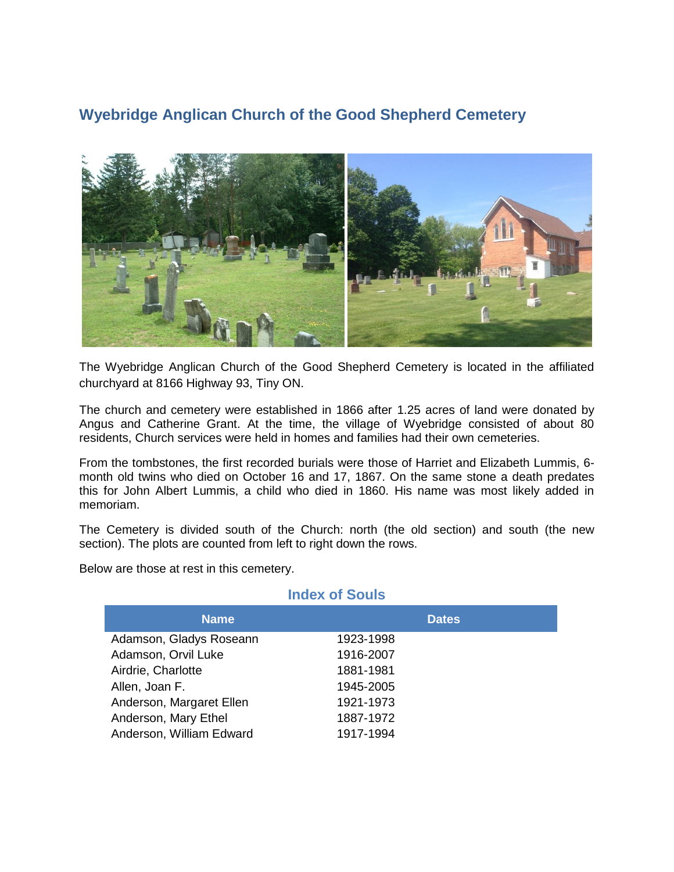## **Wyebridge Anglican Church of the Good Shepherd Cemetery**



The Wyebridge Anglican Church of the Good Shepherd Cemetery is located in the affiliated churchyard at 8166 Highway 93, Tiny ON.

The church and cemetery were established in 1866 after 1.25 acres of land were donated by Angus and Catherine Grant. At the time, the village of Wyebridge consisted of about 80 residents, Church services were held in homes and families had their own cemeteries.

From the tombstones, the first recorded burials were those of Harriet and Elizabeth Lummis, 6 month old twins who died on October 16 and 17, 1867. On the same stone a death predates this for John Albert Lummis, a child who died in 1860. His name was most likely added in memoriam.

The Cemetery is divided south of the Church: north (the old section) and south (the new section). The plots are counted from left to right down the rows.

Below are those at rest in this cemetery.

| <b>Index of Souls</b>    |              |
|--------------------------|--------------|
| <b>Name</b>              | <b>Dates</b> |
| Adamson, Gladys Roseann  | 1923-1998    |
| Adamson, Orvil Luke      | 1916-2007    |
| Airdrie, Charlotte       | 1881-1981    |
| Allen, Joan F.           | 1945-2005    |
| Anderson, Margaret Ellen | 1921-1973    |
| Anderson, Mary Ethel     | 1887-1972    |
| Anderson, William Edward | 1917-1994    |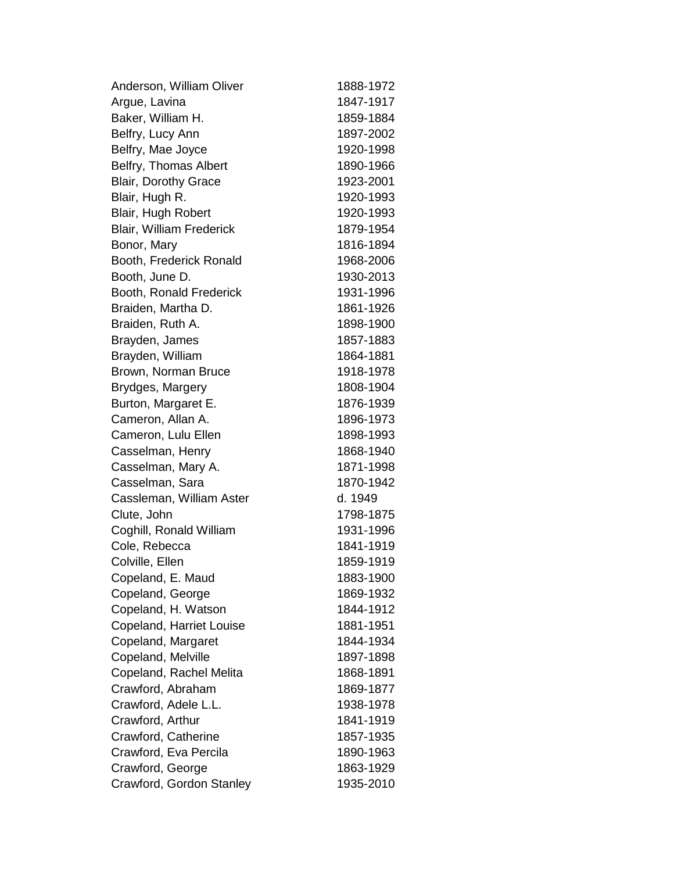| Anderson, William Oliver        | 1888-1972 |
|---------------------------------|-----------|
| Argue, Lavina                   | 1847-1917 |
| Baker, William H.               | 1859-1884 |
| Belfry, Lucy Ann                | 1897-2002 |
| Belfry, Mae Joyce               | 1920-1998 |
| Belfry, Thomas Albert           | 1890-1966 |
| <b>Blair, Dorothy Grace</b>     | 1923-2001 |
| Blair, Hugh R.                  | 1920-1993 |
| Blair, Hugh Robert              | 1920-1993 |
| <b>Blair, William Frederick</b> | 1879-1954 |
| Bonor, Mary                     | 1816-1894 |
| Booth, Frederick Ronald         | 1968-2006 |
| Booth, June D.                  | 1930-2013 |
| Booth, Ronald Frederick         | 1931-1996 |
| Braiden, Martha D.              | 1861-1926 |
| Braiden, Ruth A.                | 1898-1900 |
| Brayden, James                  | 1857-1883 |
| Brayden, William                | 1864-1881 |
| Brown, Norman Bruce             | 1918-1978 |
| Brydges, Margery                | 1808-1904 |
| Burton, Margaret E.             | 1876-1939 |
| Cameron, Allan A.               | 1896-1973 |
| Cameron, Lulu Ellen             | 1898-1993 |
| Casselman, Henry                | 1868-1940 |
| Casselman, Mary A.              | 1871-1998 |
| Casselman, Sara                 | 1870-1942 |
| Cassleman, William Aster        | d. 1949   |
| Clute, John                     | 1798-1875 |
| Coghill, Ronald William         | 1931-1996 |
| Cole, Rebecca                   | 1841-1919 |
| Colville, Ellen                 | 1859-1919 |
| Copeland, E. Maud               | 1883-1900 |
| Copeland, George                | 1869-1932 |
| Copeland, H. Watson             | 1844-1912 |
| Copeland, Harriet Louise        | 1881-1951 |
| Copeland, Margaret              | 1844-1934 |
| Copeland, Melville              | 1897-1898 |
| Copeland, Rachel Melita         | 1868-1891 |
| Crawford, Abraham               | 1869-1877 |
| Crawford, Adele L.L.            | 1938-1978 |
| Crawford, Arthur                | 1841-1919 |
| Crawford, Catherine             | 1857-1935 |
| Crawford, Eva Percila           | 1890-1963 |
| Crawford, George                | 1863-1929 |
| Crawford, Gordon Stanley        | 1935-2010 |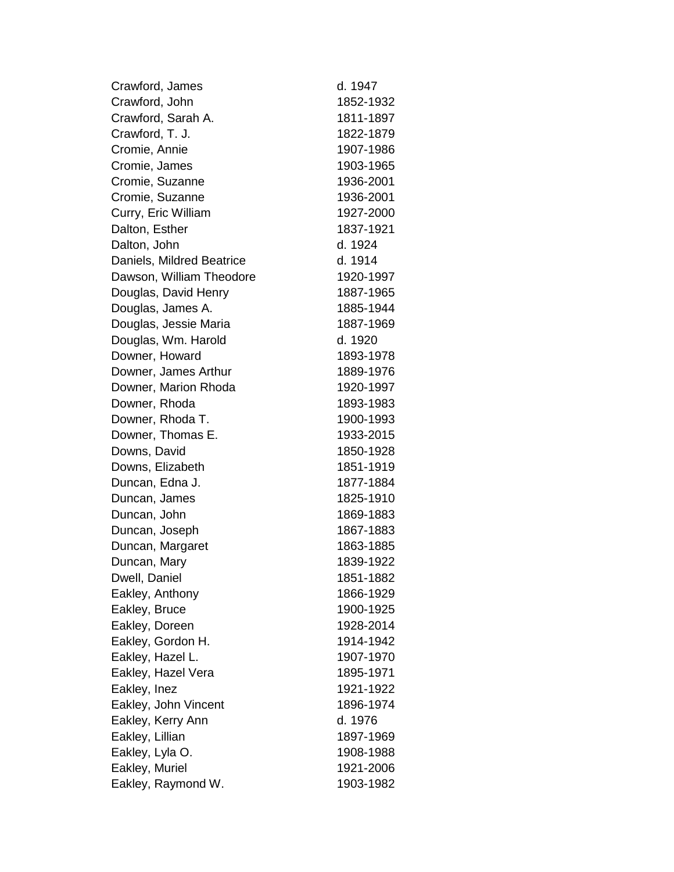| Crawford, James           | d. 1947   |
|---------------------------|-----------|
| Crawford, John            | 1852-1932 |
| Crawford, Sarah A.        | 1811-1897 |
| Crawford, T. J.           | 1822-1879 |
| Cromie, Annie             | 1907-1986 |
| Cromie, James             | 1903-1965 |
| Cromie, Suzanne           | 1936-2001 |
| Cromie, Suzanne           | 1936-2001 |
| Curry, Eric William       | 1927-2000 |
| Dalton, Esther            | 1837-1921 |
| Dalton, John              | d. 1924   |
| Daniels, Mildred Beatrice | d. 1914   |
| Dawson, William Theodore  | 1920-1997 |
| Douglas, David Henry      | 1887-1965 |
| Douglas, James A.         | 1885-1944 |
| Douglas, Jessie Maria     | 1887-1969 |
| Douglas, Wm. Harold       | d. 1920   |
| Downer, Howard            | 1893-1978 |
| Downer, James Arthur      | 1889-1976 |
| Downer, Marion Rhoda      | 1920-1997 |
| Downer, Rhoda             | 1893-1983 |
| Downer, Rhoda T.          | 1900-1993 |
| Downer, Thomas E.         | 1933-2015 |
| Downs, David              | 1850-1928 |
| Downs, Elizabeth          | 1851-1919 |
| Duncan, Edna J.           | 1877-1884 |
| Duncan, James             | 1825-1910 |
| Duncan, John              | 1869-1883 |
| Duncan, Joseph            | 1867-1883 |
| Duncan, Margaret          | 1863-1885 |
| Duncan, Mary              | 1839-1922 |
| Dwell, Daniel             | 1851-1882 |
| Eakley, Anthony           | 1866-1929 |
| Eakley, Bruce             | 1900-1925 |
| Eakley, Doreen            | 1928-2014 |
| Eakley, Gordon H.         | 1914-1942 |
| Eakley, Hazel L.          | 1907-1970 |
| Eakley, Hazel Vera        | 1895-1971 |
| Eakley, Inez              | 1921-1922 |
| Eakley, John Vincent      | 1896-1974 |
| Eakley, Kerry Ann         | d. 1976   |
| Eakley, Lillian           | 1897-1969 |
| Eakley, Lyla O.           | 1908-1988 |
| Eakley, Muriel            | 1921-2006 |
| Eakley, Raymond W.        | 1903-1982 |
|                           |           |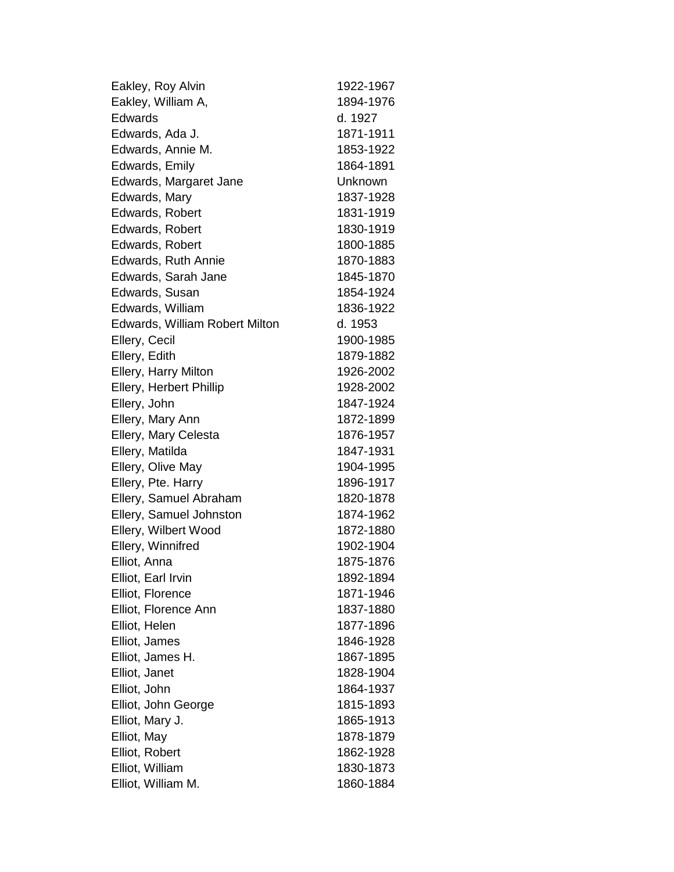| Eakley, Roy Alvin                     | 1922-1967 |
|---------------------------------------|-----------|
| Eakley, William A,                    | 1894-1976 |
| Edwards                               | d. 1927   |
| Edwards, Ada J.                       | 1871-1911 |
| Edwards, Annie M.                     | 1853-1922 |
| Edwards, Emily                        | 1864-1891 |
| Edwards, Margaret Jane                | Unknown   |
| Edwards, Mary                         | 1837-1928 |
| Edwards, Robert                       | 1831-1919 |
| Edwards, Robert                       | 1830-1919 |
| Edwards, Robert                       | 1800-1885 |
| <b>Edwards, Ruth Annie</b>            | 1870-1883 |
| Edwards, Sarah Jane                   | 1845-1870 |
| Edwards, Susan                        | 1854-1924 |
| Edwards, William                      | 1836-1922 |
| <b>Edwards, William Robert Milton</b> | d. 1953   |
| Ellery, Cecil                         | 1900-1985 |
| Ellery, Edith                         | 1879-1882 |
| Ellery, Harry Milton                  | 1926-2002 |
| Ellery, Herbert Phillip               | 1928-2002 |
| Ellery, John                          | 1847-1924 |
| Ellery, Mary Ann                      | 1872-1899 |
| Ellery, Mary Celesta                  | 1876-1957 |
| Ellery, Matilda                       | 1847-1931 |
| Ellery, Olive May                     | 1904-1995 |
| Ellery, Pte. Harry                    | 1896-1917 |
| Ellery, Samuel Abraham                | 1820-1878 |
| Ellery, Samuel Johnston               | 1874-1962 |
| Ellery, Wilbert Wood                  | 1872-1880 |
| Ellery, Winnifred                     | 1902-1904 |
| Elliot, Anna                          | 1875-1876 |
| Elliot, Earl Irvin                    | 1892-1894 |
| Elliot, Florence                      | 1871-1946 |
| Elliot, Florence Ann                  | 1837-1880 |
| Elliot, Helen                         | 1877-1896 |
| Elliot, James                         | 1846-1928 |
| Elliot, James H.                      | 1867-1895 |
| Elliot, Janet                         | 1828-1904 |
| Elliot, John                          | 1864-1937 |
| Elliot, John George                   | 1815-1893 |
| Elliot, Mary J.                       | 1865-1913 |
| Elliot, May                           | 1878-1879 |
| Elliot, Robert                        | 1862-1928 |
| Elliot, William                       | 1830-1873 |
| Elliot, William M.                    | 1860-1884 |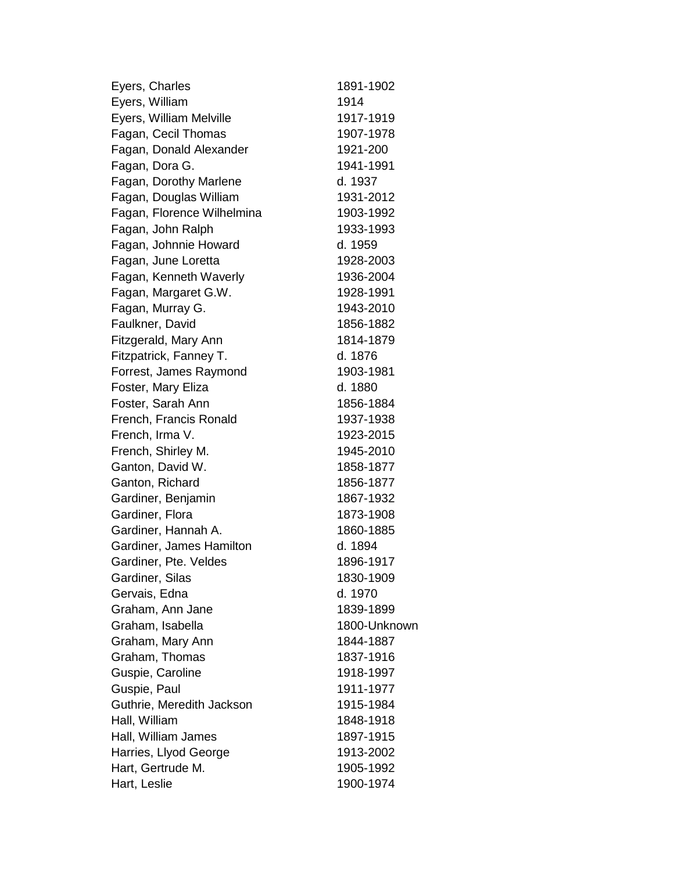| Eyers, Charles             | 1891-1902    |
|----------------------------|--------------|
| Eyers, William             | 1914         |
| Eyers, William Melville    | 1917-1919    |
| Fagan, Cecil Thomas        | 1907-1978    |
| Fagan, Donald Alexander    | 1921-200     |
| Fagan, Dora G.             | 1941-1991    |
| Fagan, Dorothy Marlene     | d. 1937      |
| Fagan, Douglas William     | 1931-2012    |
| Fagan, Florence Wilhelmina | 1903-1992    |
| Fagan, John Ralph          | 1933-1993    |
| Fagan, Johnnie Howard      | d. 1959      |
| Fagan, June Loretta        | 1928-2003    |
| Fagan, Kenneth Waverly     | 1936-2004    |
| Fagan, Margaret G.W.       | 1928-1991    |
| Fagan, Murray G.           | 1943-2010    |
| Faulkner, David            | 1856-1882    |
| Fitzgerald, Mary Ann       | 1814-1879    |
| Fitzpatrick, Fanney T.     | d. 1876      |
| Forrest, James Raymond     | 1903-1981    |
| Foster, Mary Eliza         | d. 1880      |
| Foster, Sarah Ann          | 1856-1884    |
| French, Francis Ronald     | 1937-1938    |
| French, Irma V.            | 1923-2015    |
| French, Shirley M.         | 1945-2010    |
| Ganton, David W.           | 1858-1877    |
| Ganton, Richard            | 1856-1877    |
| Gardiner, Benjamin         | 1867-1932    |
| Gardiner, Flora            | 1873-1908    |
| Gardiner, Hannah A.        | 1860-1885    |
| Gardiner, James Hamilton   | d. 1894      |
| Gardiner, Pte. Veldes      | 1896-1917    |
| Gardiner, Silas            | 1830-1909    |
| Gervais, Edna              | d. 1970      |
| Graham, Ann Jane           | 1839-1899    |
| Graham, Isabella           | 1800-Unknown |
| Graham, Mary Ann           | 1844-1887    |
| Graham, Thomas             | 1837-1916    |
| Guspie, Caroline           | 1918-1997    |
| Guspie, Paul               | 1911-1977    |
| Guthrie, Meredith Jackson  | 1915-1984    |
| Hall, William              | 1848-1918    |
| Hall, William James        | 1897-1915    |
| Harries, Llyod George      | 1913-2002    |
| Hart, Gertrude M.          | 1905-1992    |
| Hart, Leslie               | 1900-1974    |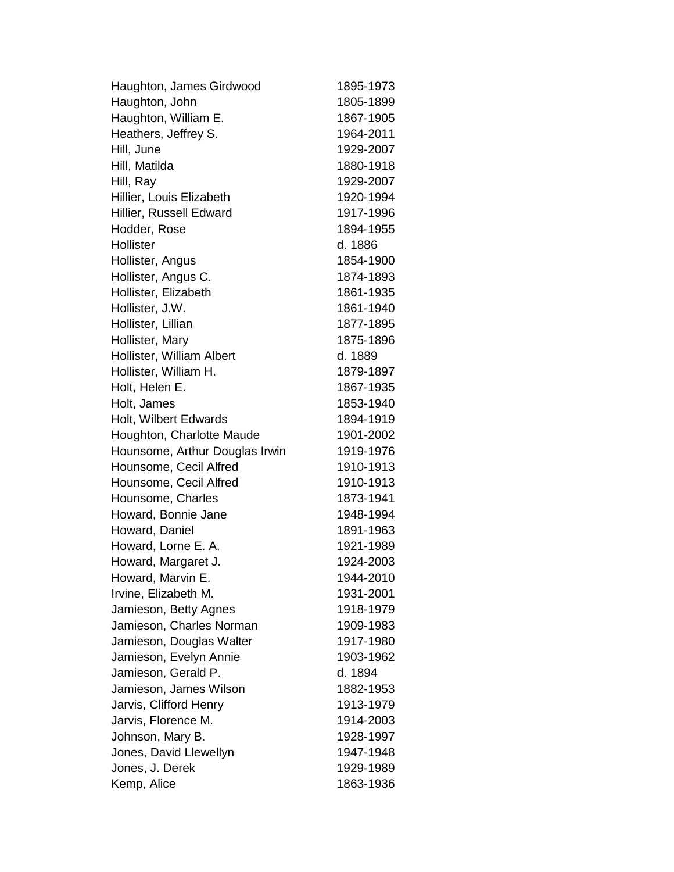Haughton, James Girdwood 1895-1973 Haughton, John 1805-1899 Haughton, William E. 1867-1905 Heathers, Jeffrey S. 1964-2011 Hill, June 1929-2007 Hill, Matilda 1880-1918 Hill, Ray 1929-2007 Hillier, Louis Elizabeth 1920-1994 Hillier, Russell Edward 1917-1996 Hodder, Rose 1894-1955 Hollister d. 1886 Hollister, Angus 1854-1900 Hollister, Angus C. 1874-1893 Hollister, Elizabeth 1861-1935 Hollister, J.W. 1861-1940 Hollister, Lillian 1877-1895 Hollister, Mary 1875-1896 Hollister, William Albert d. 1889 Hollister, William H. 1879-1897 Holt, Helen E. 1867-1935 Holt, James 1853-1940 Holt, Wilbert Edwards 1894-1919 Houghton, Charlotte Maude 1901-2002 Hounsome, Arthur Douglas Irwin 1919-1976 Hounsome, Cecil Alfred 1910-1913 Hounsome, Cecil Alfred 1910-1913 Hounsome, Charles 1873-1941 Howard, Bonnie Jane 1948-1994 Howard, Daniel 1891-1963 Howard, Lorne E. A. 1921-1989 Howard, Margaret J. 1924-2003 Howard, Marvin E. 1944-2010 Irvine, Elizabeth M. 1931-2001 Jamieson, Betty Agnes 1918-1979 Jamieson, Charles Norman 1909-1983 Jamieson, Douglas Walter 1917-1980 Jamieson, Evelyn Annie 1903-1962 Jamieson, Gerald P. d. 1894 Jamieson, James Wilson 1882-1953 Jarvis, Clifford Henry 1913-1979 Jarvis, Florence M. 1914-2003 Johnson, Mary B. 1928-1997 Jones, David Llewellyn 1947-1948 Jones, J. Derek 1929-1989 Kemp, Alice 1863-1936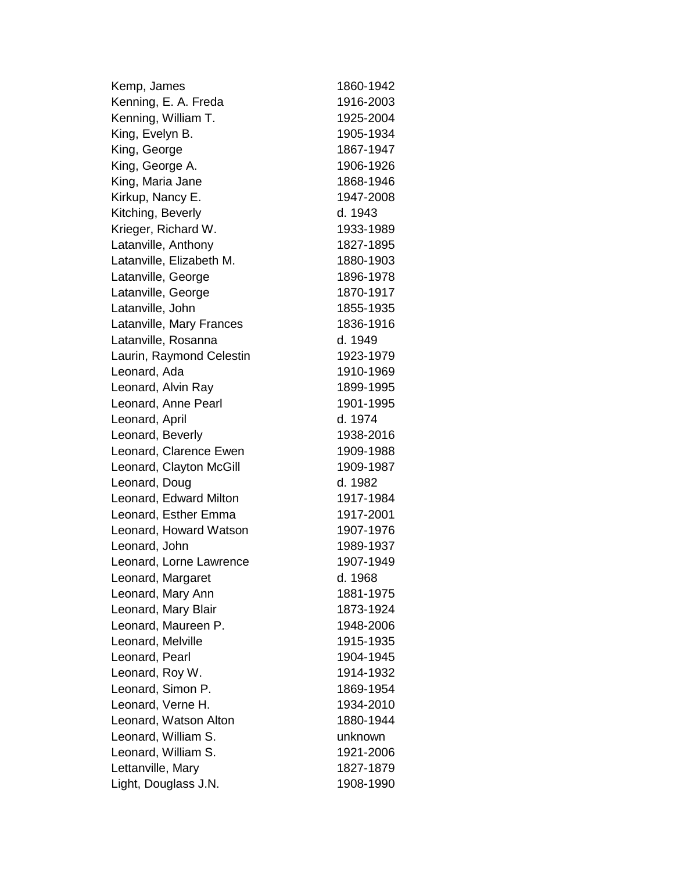Kemp, James 1860-1942 Kenning, E. A. Freda 1916-2003 Kenning, William T. 1925-2004 King, Evelyn B. 1905-1934 King, George 1867-1947 King, George A. 1906-1926 King, Maria Jane 1868-1946 Kirkup, Nancy E. 1947-2008 Kitching, Beverly d. 1943 Krieger, Richard W. 1933-1989 Latanville, Anthony 1827-1895 Latanville, Elizabeth M. 1880-1903 Latanville, George 1896-1978 Latanville, George 1870-1917 Latanville, John 1855-1935 Latanville, Mary Frances 1836-1916 Latanville, Rosanna d. 1949 Laurin, Raymond Celestin 1923-1979 Leonard, Ada 1910-1969 Leonard, Alvin Ray 1899-1995 Leonard, Anne Pearl 1901-1995 Leonard, April d. 1974 Leonard, Beverly 1938-2016 Leonard, Clarence Ewen 1909-1988 Leonard, Clayton McGill 1909-1987 Leonard, Doug d. 1982 Leonard, Edward Milton 1917-1984 Leonard, Esther Emma 1917-2001 Leonard, Howard Watson 1907-1976 Leonard, John 1989-1937 Leonard, Lorne Lawrence 1907-1949 Leonard, Margaret d. 1968 Leonard, Mary Ann 1881-1975 Leonard, Mary Blair -1924 Leonard, Maureen P. 1948-2006 Leonard, Melville 1915-1935 Leonard, Pearl 1904-1945 Leonard, Roy W. 1914-1932 Leonard, Simon P. 1869-1954 Leonard, Verne H. 1934-2010 Leonard, Watson Alton -1944 Leonard, William S. **unknown** Leonard, William S. 1921-2006 Lettanville, Mary 1827-1879 Light, Douglass J.N. 1908-1990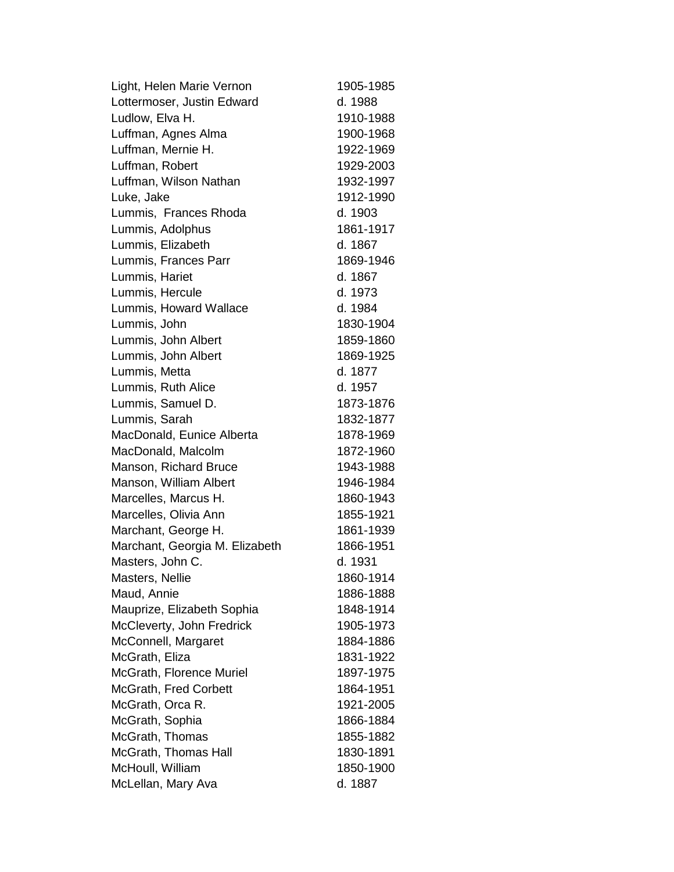Light, Helen Marie Vernon 1905-1985 Lottermoser, Justin Edward d. 1988 Ludlow, Elva H. 1910-1988 Luffman, Agnes Alma 1900-1968 Luffman, Mernie H. 1922-1969 Luffman, Robert 1929-2003 Luffman, Wilson Nathan 1932-1997 Luke, Jake 1912-1990 Lummis, Frances Rhoda d. 1903 Lummis, Adolphus 1861-1917 Lummis, Elizabeth d. 1867 Lummis, Frances Parr 1869-1946 Lummis, Hariet d. 1867 Lummis, Hercule d. 1973 Lummis, Howard Wallace d. 1984 Lummis, John 1830-1904 Lummis, John Albert 1859-1860 Lummis, John Albert 1869-1925 Lummis, Metta d. 1877 Lummis, Ruth Alice d. 1957 Lummis, Samuel D. 1873-1876 Lummis, Sarah 1832-1877 MacDonald, Eunice Alberta 1878-1969 MacDonald, Malcolm 1872-1960 Manson, Richard Bruce 1943-1988 Manson, William Albert 1946-1984 Marcelles, Marcus H. 1860-1943 Marcelles, Olivia Ann 1855-1921 Marchant, George H. 1861-1939 Marchant, Georgia M. Elizabeth 1866-1951 Masters, John C. d. 1931 Masters, Nellie 1860-1914 Maud, Annie 1886-1888 Mauprize, Elizabeth Sophia 1848-1914 McCleverty, John Fredrick 1905-1973 McConnell, Margaret 1884-1886 McGrath, Eliza 1831-1922 McGrath, Florence Muriel 1897-1975 McGrath, Fred Corbett 1864-1951 McGrath, Orca R. 1921-2005 McGrath, Sophia 1866-1884 McGrath, Thomas 1855-1882 McGrath, Thomas Hall 1830-1891 McHoull, William 1850-1900 McLellan, Mary Ava d. 1887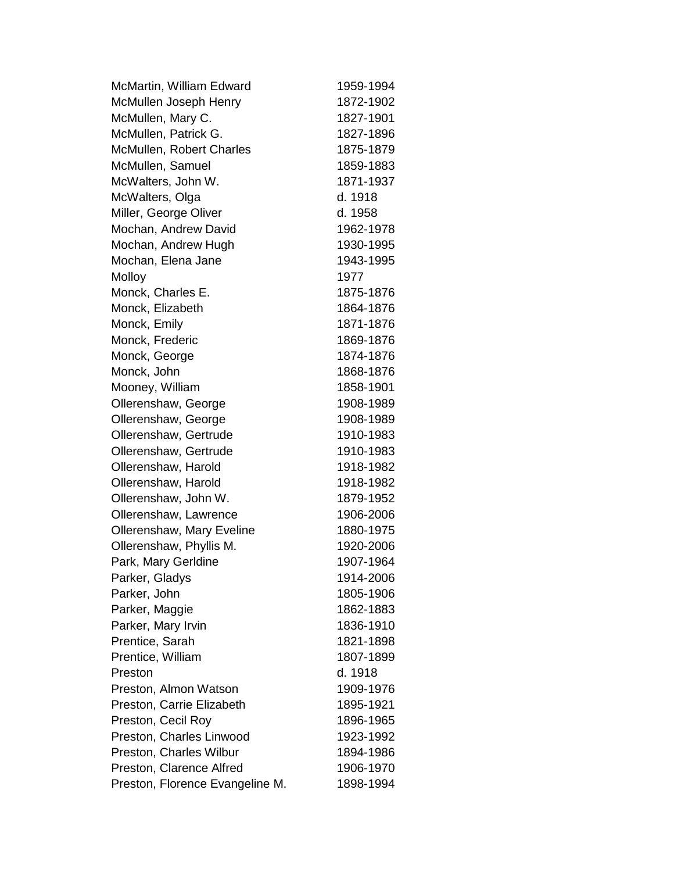| McMartin, William Edward        | 1959-1994 |
|---------------------------------|-----------|
| McMullen Joseph Henry           | 1872-1902 |
| McMullen, Mary C.               | 1827-1901 |
| McMullen, Patrick G.            | 1827-1896 |
| McMullen, Robert Charles        | 1875-1879 |
| McMullen, Samuel                | 1859-1883 |
| McWalters, John W.              | 1871-1937 |
| McWalters, Olga                 | d. 1918   |
| Miller, George Oliver           | d. 1958   |
| Mochan, Andrew David            | 1962-1978 |
| Mochan, Andrew Hugh             | 1930-1995 |
| Mochan, Elena Jane              | 1943-1995 |
| Molloy                          | 1977      |
| Monck, Charles E.               | 1875-1876 |
| Monck, Elizabeth                | 1864-1876 |
| Monck, Emily                    | 1871-1876 |
| Monck, Frederic                 | 1869-1876 |
| Monck, George                   | 1874-1876 |
| Monck, John                     | 1868-1876 |
| Mooney, William                 | 1858-1901 |
| Ollerenshaw, George             | 1908-1989 |
| Ollerenshaw, George             | 1908-1989 |
| Ollerenshaw, Gertrude           | 1910-1983 |
| Ollerenshaw, Gertrude           | 1910-1983 |
| Ollerenshaw, Harold             | 1918-1982 |
| Ollerenshaw, Harold             | 1918-1982 |
| Ollerenshaw, John W.            | 1879-1952 |
| Ollerenshaw, Lawrence           | 1906-2006 |
| Ollerenshaw, Mary Eveline       | 1880-1975 |
| Ollerenshaw, Phyllis M.         | 1920-2006 |
| Park, Mary Gerldine             | 1907-1964 |
| Parker, Gladys                  | 1914-2006 |
| Parker, John                    | 1805-1906 |
| Parker, Maggie                  | 1862-1883 |
| Parker, Mary Irvin              | 1836-1910 |
| Prentice, Sarah                 | 1821-1898 |
| Prentice, William               | 1807-1899 |
| Preston                         | d. 1918   |
| Preston, Almon Watson           | 1909-1976 |
| Preston, Carrie Elizabeth       | 1895-1921 |
| Preston, Cecil Roy              | 1896-1965 |
| Preston, Charles Linwood        | 1923-1992 |
| Preston, Charles Wilbur         | 1894-1986 |
| Preston, Clarence Alfred        | 1906-1970 |
| Preston, Florence Evangeline M. | 1898-1994 |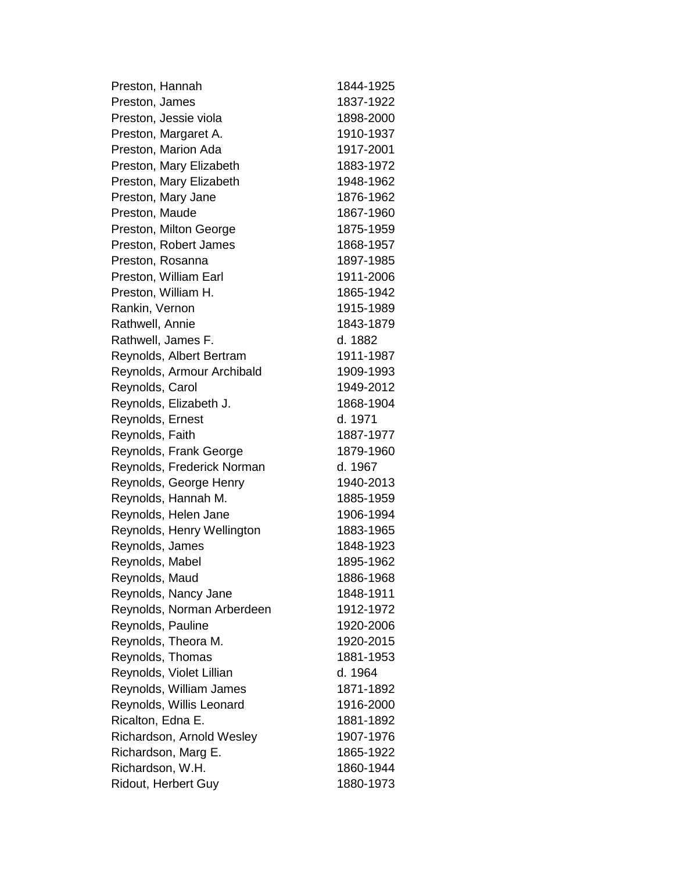| Preston, Hannah            | 1844-1925 |
|----------------------------|-----------|
| Preston, James             | 1837-1922 |
| Preston, Jessie viola      | 1898-2000 |
| Preston, Margaret A.       | 1910-1937 |
| Preston, Marion Ada        | 1917-2001 |
| Preston, Mary Elizabeth    | 1883-1972 |
| Preston, Mary Elizabeth    | 1948-1962 |
| Preston, Mary Jane         | 1876-1962 |
| Preston, Maude             | 1867-1960 |
| Preston, Milton George     | 1875-1959 |
| Preston, Robert James      | 1868-1957 |
| Preston, Rosanna           | 1897-1985 |
| Preston, William Earl      | 1911-2006 |
| Preston, William H.        | 1865-1942 |
| Rankin, Vernon             | 1915-1989 |
| Rathwell, Annie            | 1843-1879 |
| Rathwell, James F.         | d. 1882   |
| Reynolds, Albert Bertram   | 1911-1987 |
| Reynolds, Armour Archibald | 1909-1993 |
| Reynolds, Carol            | 1949-2012 |
| Reynolds, Elizabeth J.     | 1868-1904 |
| Reynolds, Ernest           | d. 1971   |
| Reynolds, Faith            | 1887-1977 |
| Reynolds, Frank George     | 1879-1960 |
| Reynolds, Frederick Norman | d. 1967   |
| Reynolds, George Henry     | 1940-2013 |
| Reynolds, Hannah M.        | 1885-1959 |
| Reynolds, Helen Jane       | 1906-1994 |
| Reynolds, Henry Wellington | 1883-1965 |
| Reynolds, James            | 1848-1923 |
| Reynolds, Mabel            | 1895-1962 |
| Reynolds, Maud             | 1886-1968 |
| Reynolds, Nancy Jane       | 1848-1911 |
| Reynolds, Norman Arberdeen | 1912-1972 |
| Reynolds, Pauline          | 1920-2006 |
| Reynolds, Theora M.        | 1920-2015 |
| Reynolds, Thomas           | 1881-1953 |
| Reynolds, Violet Lillian   | d. 1964   |
| Reynolds, William James    | 1871-1892 |
| Reynolds, Willis Leonard   | 1916-2000 |
| Ricalton, Edna E.          | 1881-1892 |
| Richardson, Arnold Wesley  | 1907-1976 |
| Richardson, Marg E.        | 1865-1922 |
| Richardson, W.H.           | 1860-1944 |
| Ridout, Herbert Guy        | 1880-1973 |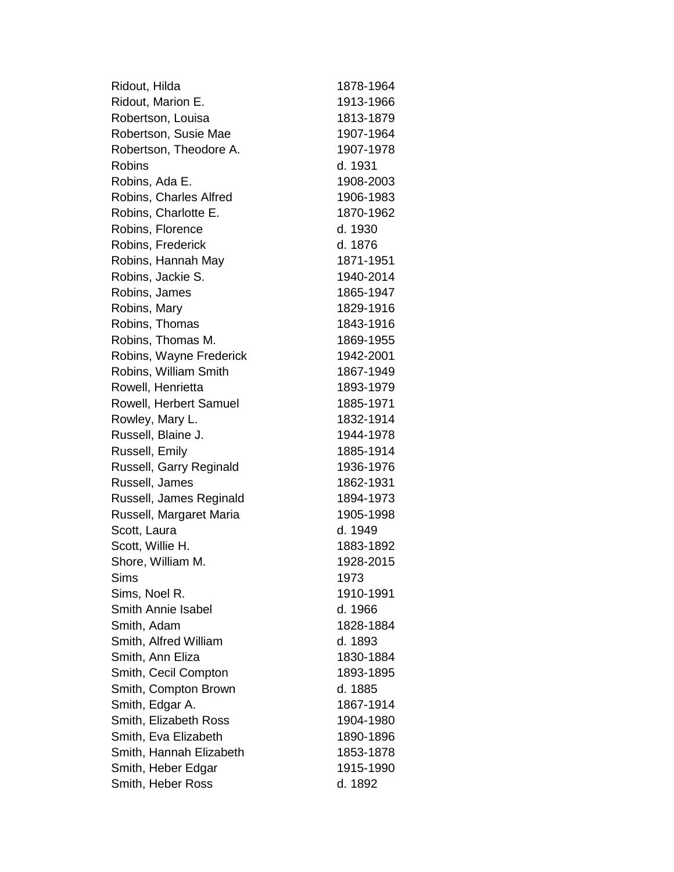| Ridout, Hilda             | 1878-1964 |
|---------------------------|-----------|
| Ridout, Marion E.         | 1913-1966 |
| Robertson, Louisa         | 1813-1879 |
| Robertson, Susie Mae      | 1907-1964 |
| Robertson, Theodore A.    | 1907-1978 |
| <b>Robins</b>             | d. 1931   |
| Robins, Ada E.            | 1908-2003 |
| Robins, Charles Alfred    | 1906-1983 |
| Robins, Charlotte E.      | 1870-1962 |
| Robins, Florence          | d. 1930   |
| Robins, Frederick         | d. 1876   |
| Robins, Hannah May        | 1871-1951 |
| Robins, Jackie S.         | 1940-2014 |
| Robins, James             | 1865-1947 |
| Robins, Mary              | 1829-1916 |
| Robins, Thomas            | 1843-1916 |
| Robins, Thomas M.         | 1869-1955 |
| Robins, Wayne Frederick   | 1942-2001 |
| Robins, William Smith     | 1867-1949 |
| Rowell, Henrietta         | 1893-1979 |
| Rowell, Herbert Samuel    | 1885-1971 |
| Rowley, Mary L.           | 1832-1914 |
| Russell, Blaine J.        | 1944-1978 |
| Russell, Emily            | 1885-1914 |
| Russell, Garry Reginald   | 1936-1976 |
| Russell, James            | 1862-1931 |
| Russell, James Reginald   | 1894-1973 |
| Russell, Margaret Maria   | 1905-1998 |
| Scott, Laura              | d. 1949   |
| Scott, Willie H.          | 1883-1892 |
| Shore, William M.         | 1928-2015 |
| Sims                      | 1973      |
| Sims, Noel R.             | 1910-1991 |
| <b>Smith Annie Isabel</b> | d. 1966   |
| Smith, Adam               | 1828-1884 |
| Smith, Alfred William     | d. 1893   |
| Smith, Ann Eliza          | 1830-1884 |
| Smith, Cecil Compton      | 1893-1895 |
| Smith, Compton Brown      | d. 1885   |
| Smith, Edgar A.           | 1867-1914 |
| Smith, Elizabeth Ross     | 1904-1980 |
| Smith, Eva Elizabeth      | 1890-1896 |
| Smith, Hannah Elizabeth   | 1853-1878 |
| Smith, Heber Edgar        | 1915-1990 |
| Smith, Heber Ross         | d. 1892   |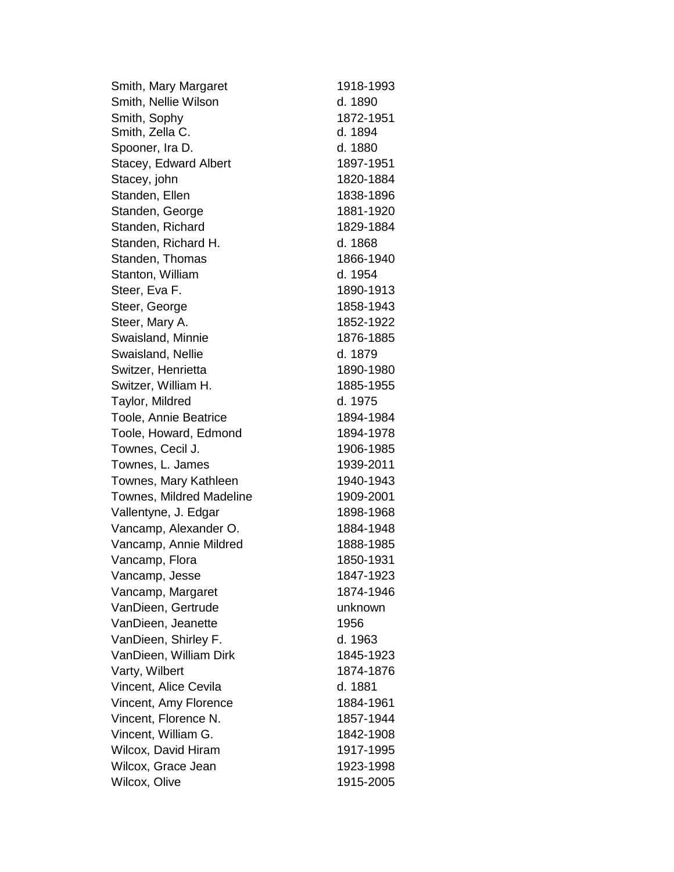Smith, Mary Margaret 1918-1993 Smith, Nellie Wilson d. 1890 Smith, Sophy 1872-1951 Smith, Zella C. d. 1894 Spooner, Ira D. d. 1880 Stacey, Edward Albert 1897-1951 Stacey, john 1820-1884 Standen, Ellen 1838-1896 Standen, George 1881-1920 Standen, Richard 1829-1884 Standen, Richard H. d. 1868 Standen, Thomas 1866-1940 Stanton, William d. 1954 Steer, Eva F. 1890-1913 Steer, George 1858-1943 Steer, Mary A. 1852-1922 Swaisland, Minnie 1876-1885 Swaisland, Nellie d. 1879 Switzer, Henrietta 1890-1980 Switzer, William H. 1885-1955 Taylor, Mildred d. 1975 Toole, Annie Beatrice 1894-1984 Toole, Howard, Edmond 1894-1978 Townes, Cecil J. 1906-1985 Townes, L. James 1939-2011 Townes, Mary Kathleen 1940-1943 Townes, Mildred Madeline 1909-2001 Vallentyne, J. Edgar 1898-1968 Vancamp, Alexander O. 1884-1948 Vancamp, Annie Mildred 1888-1985 Vancamp, Flora -1931 Vancamp, Jesse 1847-1923 Vancamp, Margaret 1874-1946 VanDieen, Gertrude unknown VanDieen, Jeanette 1956 VanDieen, Shirley F. **d. 1963** VanDieen, William Dirk 1845 1845-1923 Varty, Wilbert 1874-1876 Vincent, Alice Cevila d. 1881 Vincent, Amy Florence 1884-1961 Vincent, Florence N. -1944 Vincent, William G. 1842-1908 Wilcox, David Hiram 1917-1995 Wilcox, Grace Jean 1923-1998 Wilcox, Olive 1915-2005